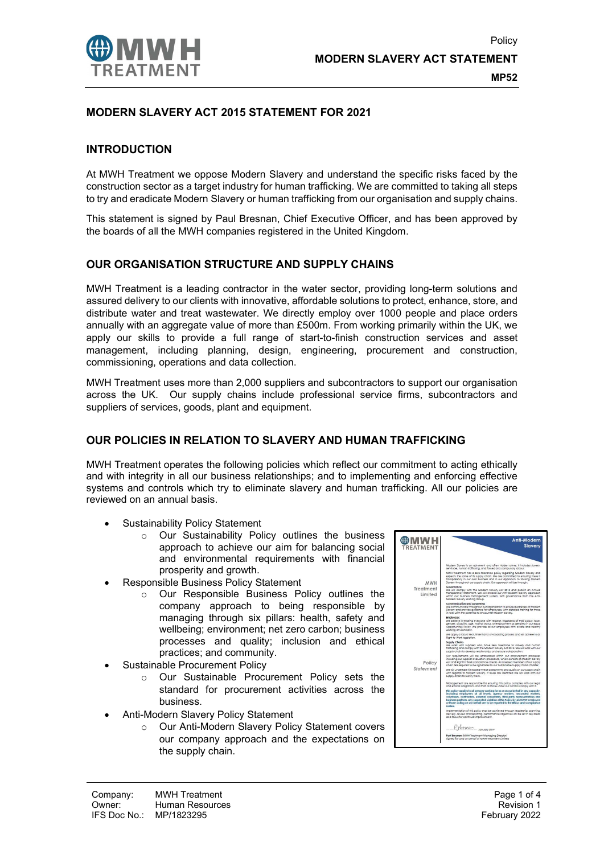

# MODERN SLAVERY ACT 2015 STATEMENT FOR 2021

### INTRODUCTION

At MWH Treatment we oppose Modern Slavery and understand the specific risks faced by the construction sector as a target industry for human trafficking. We are committed to taking all steps to try and eradicate Modern Slavery or human trafficking from our organisation and supply chains.

This statement is signed by Paul Bresnan, Chief Executive Officer, and has been approved by the boards of all the MWH companies registered in the United Kingdom.

## OUR ORGANISATION STRUCTURE AND SUPPLY CHAINS

MWH Treatment is a leading contractor in the water sector, providing long-term solutions and assured delivery to our clients with innovative, affordable solutions to protect, enhance, store, and distribute water and treat wastewater. We directly employ over 1000 people and place orders annually with an aggregate value of more than £500m. From working primarily within the UK, we apply our skills to provide a full range of start-to-finish construction services and asset management, including planning, design, engineering, procurement and construction, commissioning, operations and data collection.

MWH Treatment uses more than 2,000 suppliers and subcontractors to support our organisation across the UK. Our supply chains include professional service firms, subcontractors and suppliers of services, goods, plant and equipment.

# OUR POLICIES IN RELATION TO SLAVERY AND HUMAN TRAFFICKING

MWH Treatment operates the following policies which reflect our commitment to acting ethically and with integrity in all our business relationships; and to implementing and enforcing effective systems and controls which try to eliminate slavery and human trafficking. All our policies are reviewed on an annual basis.

- Sustainability Policy Statement
	- o Our Sustainability Policy outlines the business approach to achieve our aim for balancing social and environmental requirements with financial prosperity and growth.
- Responsible Business Policy Statement
	- $\circ$  Our Responsible Business Policy outlines the company approach to being responsible by managing through six pillars: health, safety and wellbeing; environment; net zero carbon; business processes and quality; inclusion and ethical practices; and community.
- Sustainable Procurement Policy
	- o Our Sustainable Procurement Policy sets the standard for procurement activities across the business.
- Anti-Modern Slavery Policy Statement
	- o Our Anti-Modern Slavery Policy Statement covers our company approach and the expectations on the supply chain.

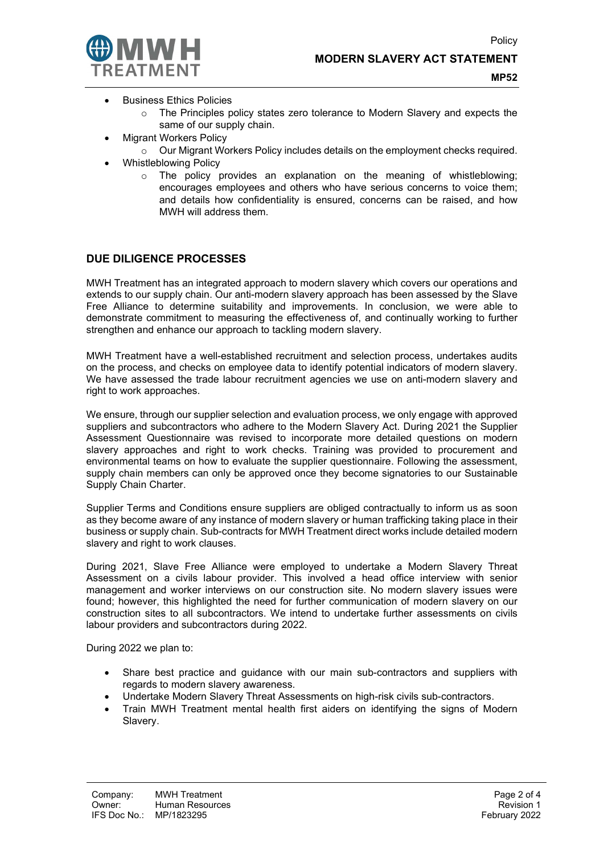

MP52

- **Business Ethics Policies** 
	- o The Principles policy states zero tolerance to Modern Slavery and expects the same of our supply chain.
	- Migrant Workers Policy
		- o Our Migrant Workers Policy includes details on the employment checks required.
- Whistleblowing Policy
	- o The policy provides an explanation on the meaning of whistleblowing; encourages employees and others who have serious concerns to voice them; and details how confidentiality is ensured, concerns can be raised, and how MWH will address them.

### DUE DILIGENCE PROCESSES

MWH Treatment has an integrated approach to modern slavery which covers our operations and extends to our supply chain. Our anti-modern slavery approach has been assessed by the Slave Free Alliance to determine suitability and improvements. In conclusion, we were able to demonstrate commitment to measuring the effectiveness of, and continually working to further strengthen and enhance our approach to tackling modern slavery.

MWH Treatment have a well-established recruitment and selection process, undertakes audits on the process, and checks on employee data to identify potential indicators of modern slavery. We have assessed the trade labour recruitment agencies we use on anti-modern slavery and right to work approaches.

We ensure, through our supplier selection and evaluation process, we only engage with approved suppliers and subcontractors who adhere to the Modern Slavery Act. During 2021 the Supplier Assessment Questionnaire was revised to incorporate more detailed questions on modern slavery approaches and right to work checks. Training was provided to procurement and environmental teams on how to evaluate the supplier questionnaire. Following the assessment, supply chain members can only be approved once they become signatories to our Sustainable Supply Chain Charter.

Supplier Terms and Conditions ensure suppliers are obliged contractually to inform us as soon as they become aware of any instance of modern slavery or human trafficking taking place in their business or supply chain. Sub-contracts for MWH Treatment direct works include detailed modern slavery and right to work clauses.

During 2021, Slave Free Alliance were employed to undertake a Modern Slavery Threat Assessment on a civils labour provider. This involved a head office interview with senior management and worker interviews on our construction site. No modern slavery issues were found; however, this highlighted the need for further communication of modern slavery on our construction sites to all subcontractors. We intend to undertake further assessments on civils labour providers and subcontractors during 2022.

During 2022 we plan to:

- Share best practice and guidance with our main sub-contractors and suppliers with regards to modern slavery awareness.
- Undertake Modern Slavery Threat Assessments on high-risk civils sub-contractors.
- Train MWH Treatment mental health first aiders on identifying the signs of Modern Slavery.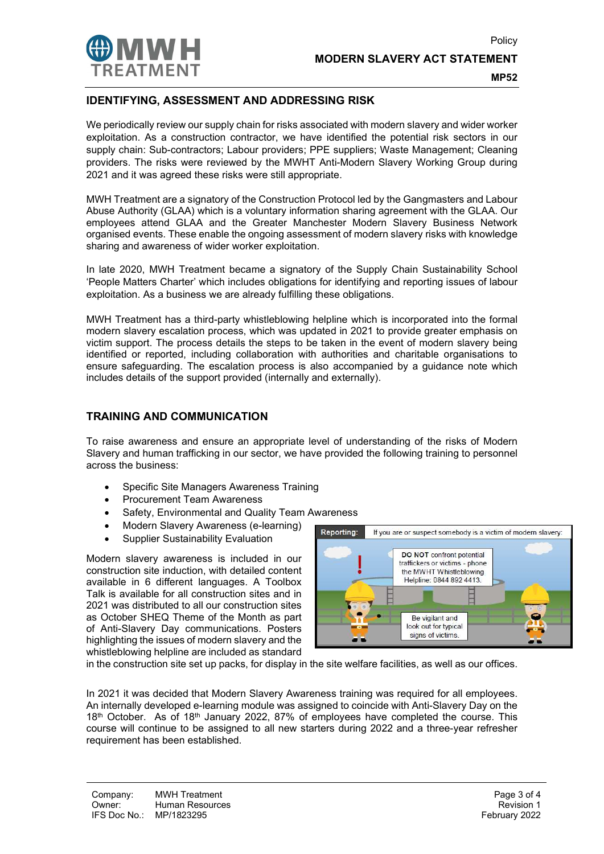

#### MP52

Policy

# IDENTIFYING, ASSESSMENT AND ADDRESSING RISK

We periodically review our supply chain for risks associated with modern slavery and wider worker exploitation. As a construction contractor, we have identified the potential risk sectors in our supply chain: Sub-contractors; Labour providers; PPE suppliers; Waste Management; Cleaning providers. The risks were reviewed by the MWHT Anti-Modern Slavery Working Group during 2021 and it was agreed these risks were still appropriate.

MWH Treatment are a signatory of the Construction Protocol led by the Gangmasters and Labour Abuse Authority (GLAA) which is a voluntary information sharing agreement with the GLAA. Our employees attend GLAA and the Greater Manchester Modern Slavery Business Network organised events. These enable the ongoing assessment of modern slavery risks with knowledge sharing and awareness of wider worker exploitation.

In late 2020, MWH Treatment became a signatory of the Supply Chain Sustainability School 'People Matters Charter' which includes obligations for identifying and reporting issues of labour exploitation. As a business we are already fulfilling these obligations.

MWH Treatment has a third-party whistleblowing helpline which is incorporated into the formal modern slavery escalation process, which was updated in 2021 to provide greater emphasis on victim support. The process details the steps to be taken in the event of modern slavery being identified or reported, including collaboration with authorities and charitable organisations to ensure safeguarding. The escalation process is also accompanied by a guidance note which includes details of the support provided (internally and externally).

### TRAINING AND COMMUNICATION

To raise awareness and ensure an appropriate level of understanding of the risks of Modern Slavery and human trafficking in our sector, we have provided the following training to personnel across the business:

- Specific Site Managers Awareness Training
- Procurement Team Awareness
- Safety, Environmental and Quality Team Awareness
- Modern Slavery Awareness (e-learning)
- Supplier Sustainability Evaluation

Modern slavery awareness is included in our construction site induction, with detailed content available in 6 different languages. A Toolbox Talk is available for all construction sites and in 2021 was distributed to all our construction sites as October SHEQ Theme of the Month as part of Anti-Slavery Day communications. Posters highlighting the issues of modern slavery and the whistleblowing helpline are included as standard



in the construction site set up packs, for display in the site welfare facilities, as well as our offices.

In 2021 it was decided that Modern Slavery Awareness training was required for all employees. An internally developed e-learning module was assigned to coincide with Anti-Slavery Day on the  $18<sup>th</sup>$  October. As of  $18<sup>th</sup>$  January 2022, 87% of employees have completed the course. This course will continue to be assigned to all new starters during 2022 and a three-year refresher requirement has been established.